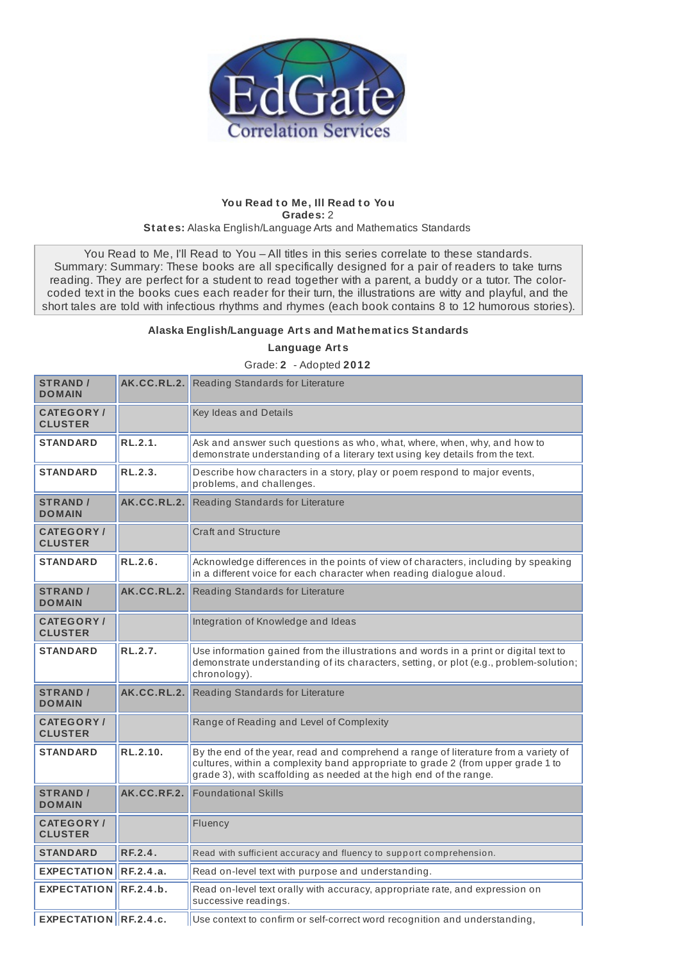

## **You Read t o Me, Ill Read t o You Grades:** 2 **St at es:** Alaska English/Language Arts and Mathematics Standards

You Read to Me, I'll Read to You - All titles in this series correlate to these standards. Summary: Summary: These books are all specifically designed for a pair of readers to take turns reading. They are perfect for a student to read together with a parent, a buddy or a tutor. The colorcoded text in the books cues each reader for their turn, the illustrations are witty and playful, and the short tales are told with infectious rhythms and rhymes (each book contains 8 to 12 humorous stories).

## **Alaska English/Language Art s and Mat hemat ics St andards**

**Language Art s**

Grade: **2** - Adopted **2012**

| <b>STRAND /</b><br><b>DOMAIN</b>    |             | AK.CC.RL.2. Reading Standards for Literature                                                                                                                                                                                                  |
|-------------------------------------|-------------|-----------------------------------------------------------------------------------------------------------------------------------------------------------------------------------------------------------------------------------------------|
| <b>CATEGORY/</b><br><b>CLUSTER</b>  |             | Key Ideas and Details                                                                                                                                                                                                                         |
| <b>STANDARD</b>                     | RL.2.1.     | Ask and answer such questions as who, what, where, when, why, and how to<br>demonstrate understanding of a literary text using key details from the text.                                                                                     |
| <b>STANDARD</b>                     | RL.2.3.     | Describe how characters in a story, play or poem respond to major events,<br>problems, and challenges.                                                                                                                                        |
| <b>STRAND /</b><br><b>DOMAIN</b>    | AK.CC.RL.2. | Reading Standards for Literature                                                                                                                                                                                                              |
| <b>CATEGORY/</b><br><b>CLUSTER</b>  |             | <b>Craft and Structure</b>                                                                                                                                                                                                                    |
| <b>STANDARD</b>                     | RL.2.6.     | Acknowledge differences in the points of view of characters, including by speaking<br>in a different voice for each character when reading dialogue aloud.                                                                                    |
| <b>STRAND /</b><br><b>DOMAIN</b>    | AK.CC.RL.2. | Reading Standards for Literature                                                                                                                                                                                                              |
| <b>CATEGORY</b> /<br><b>CLUSTER</b> |             | Integration of Knowledge and Ideas                                                                                                                                                                                                            |
| <b>STANDARD</b>                     | RL.2.7.     | Use information gained from the illustrations and words in a print or digital text to<br>demonstrate understanding of its characters, setting, or plot (e.g., problem-solution;<br>chronology).                                               |
| <b>STRAND /</b><br><b>DOMAIN</b>    | AK.CC.RL.2. | Reading Standards for Literature                                                                                                                                                                                                              |
| <b>CATEGORY /</b><br><b>CLUSTER</b> |             | Range of Reading and Level of Complexity                                                                                                                                                                                                      |
| <b>STANDARD</b>                     | RL.2.10.    | By the end of the year, read and comprehend a range of literature from a variety of<br>cultures, within a complexity band appropriate to grade 2 (from upper grade 1 to<br>grade 3), with scaffolding as needed at the high end of the range. |
| <b>STRAND /</b><br><b>DOMAIN</b>    | AK.CC.RF.2. | <b>Foundational Skills</b>                                                                                                                                                                                                                    |
| <b>CATEGORY/</b><br><b>CLUSTER</b>  |             | Fluency                                                                                                                                                                                                                                       |
| <b>STANDARD</b>                     | RF.2.4.     | Read with sufficient accuracy and fluency to support comprehension.                                                                                                                                                                           |
| <b>EXPECTATION</b>                  | RF.2.4.a.   | Read on-level text with purpose and understanding.                                                                                                                                                                                            |
| <b>EXPECTATION</b>                  | RF.2.4.b.   | Read on-level text orally with accuracy, appropriate rate, and expression on<br>successive readings.                                                                                                                                          |
| EXPECTATION RF.2.4.c.               |             | Use context to confirm or self-correct word recognition and understanding,                                                                                                                                                                    |